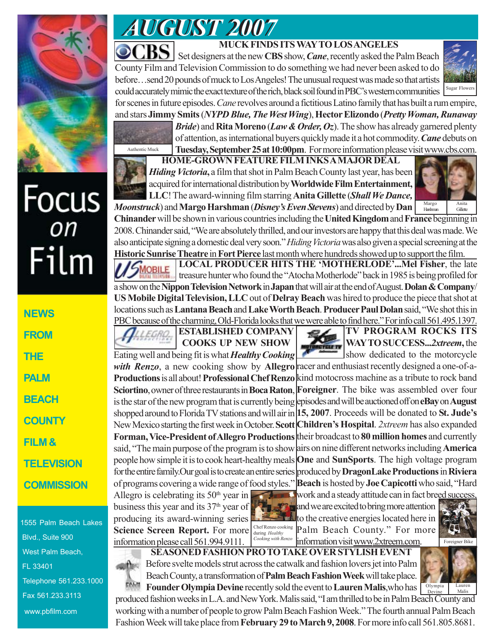

# Focus<br><sub>on</sub> Film

**NEWS FROM THE PALM BEACH COUNTY FILM & TELEVISION COMMISSION**

1555 Palm Beach Lakes Blvd., Suite 900 West Palm Beach, FL 33401 Telephone 561.233.1000 Fax 561.233.3113 www.pbfilm.com



# **MUCK FINDS ITS WAY TO LOS ANGELES**

**CBS** set designers at the new **CBS** show, *Cane*, recently asked the Palm Beach County Film and Television Commission to do something we had never been asked to do before…send 20 pounds of muck to Los Angeles! The unusual request was made so that artists could accurately mimic the exact texture of the rich, black soil found in PBC's western communities for scenes in future episodes. *Cane* revolves around a fictitious Latino family that has built a rum empire,



and stars **Jimmy Smits** (*NYPD Blue, The West Wing*), **Hector Elizondo** (*Pretty Woman, Runaway*

Authentic Muck

*Bride*) and **Rita Moreno** (*Law & Order, Oz*). The show has already garnered plenty of attention, as international buyers quickly made it a hot commodity. *Cane* debuts on **Tuesday, September 25 at 10:00pm**. For more information please visit www.cbs.com.



**HOME-GROWN FEATURE FILM INKS A MAJOR DEAL** *Hiding Victoria***,** a film that shot in Palm Beach County last year, has been acquired for international distribution by **Worldwide Film Entertainment, LLC**! The award-winning film starring **Anita Gillette** (*Shall We Dance, Moonstruck*) and **Margo Harshman** (*Disney's Even Stevens*) and directed by **Dan**



**Chinander** will be shown in various countries including the **United Kingdom** and **France** beginning in 2008. Chinander said, "We are absolutely thrilled, and our investors are happy that this deal was made. We also anticipate signing a domestic deal very soon." *Hiding Victoria* was also given a special screening at the

**Historic Sunrise Theatre** in **Fort Pierce** last month where hundreds showed up to support the film. **LOCAL PRODUCER HITS THE 'MOTHERLODE'...Mel Fisher**, the late MOBILE treasure hunter who found the "Atocha Motherlode" back in 1985 is being profiled for a show on the **Nippon Television Network** in **Japan** that will air at the end of August. **Dolan & Company**/ **US Mobile Digital Television, LLC** out of **Delray Beach** was hired to produce the piece that shot at locations such as **Lantana Beach** and **Lake Worth Beach**. **Producer Paul Dolan** said, "We shot this in PBC because of the charming, Old-Florida looks that we were able to find here." For info call 561.495.1397.

> **ESTABLISHED COMPANY COOKS UP NEW SHOW**

Eating well and being fit is what *Healthy Cooking* with Renzo, a new cooking show by Allegro racer and enthusiast recently designed a one-of-a-**Productions** is all about! **Professional Chef Renzo** kind motocross machine as a tribute to rock band **Sciortino**, owner of three restaurants in **Boca Raton**, **Foreigner**. The bike was assembled over four is the star of the new program that is currently being episodes and will be auctioned off on **eBay** on **August** shopped around to Florida TV stations and will air in **15, 2007**. Proceeds will be donated to **St. Jude's** New Mexico starting the first week in October. **Scott Children's Hospital**. *2xtreem* has also expanded Forman, Vice-President of Allegro Productions their broadcast to 80 million homes and currently said, "The main purpose of the program is to show airs on nine different networks including **America** people how simple it is to cook heart-healthy meals **One** and **SunSports**. The high voltage program for the entire family.Our goal is to create an entire series produced by **DragonLake Productions** in **Riviera** of programs covering a wide range of food styles." **Beach** is hosted by **Joe Capicotti** who said, "Hard

Allegro is celebrating its  $50<sup>th</sup>$  year in business this year and its  $37<sup>th</sup>$  year of producing its award-winning series **Science Screen Report.** For more information please call 561.994.9111.



Chef Renzo cooking **Palm Beach County.**" For more Cooking with Renzo information visit www.2xtreem.com. and we are excited to bring more attention to the creative energies located here in



**SEASONED FASHION PRO TO TAKE OVER STYLISH EVENT** Before svelte models strut across the catwalk and fashion lovers jet into Palm Beach County, a transformation of **Palm Beach Fashion Week** will take place.



**Founder Olympia Devine** recently sold the event to Lauren Malis, who has  $\frac{\text{Olympia}}{\text{Devine}}$ produced fashion weeks in L.A. and New York. Malis said, "I am thrilled to be in Palm Beach County and working with a number of people to grow Palm Beach Fashion Week." The fourth annual Palm Beach Fashion Week will take place from **February 29 to March 9, 2008**. For more info call 561.805.8681. Malis



**TV PROGRAM ROCKS ITS WAY TO SUCCESS...***2xtreem***,** the show dedicated to the motorcycle

**WHE NUR AND A** work and a steady attitude can in fact breed success